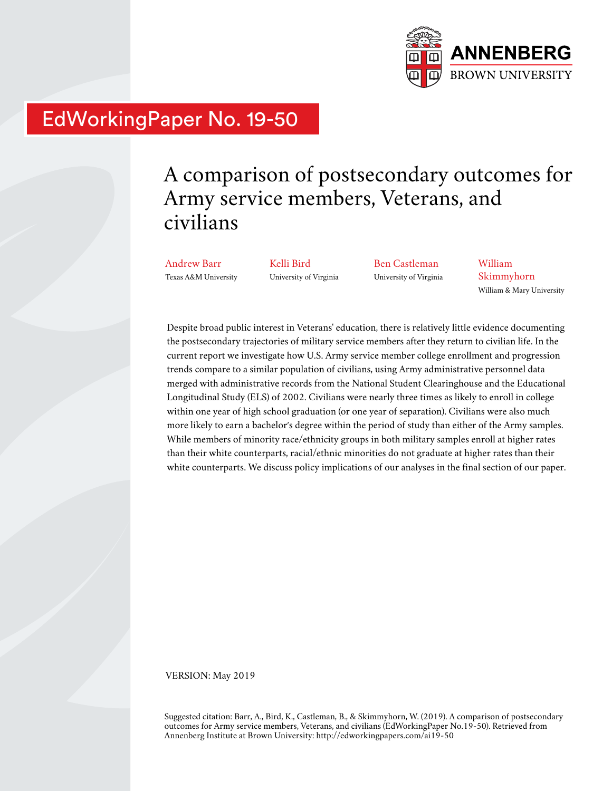

# EdWorkingPaper No. 19-50

# A comparison of postsecondary outcomes for Army service members, Veterans, and civilians

Andrew Barr Texas A&M University Kelli Bird University of Virginia Ben Castleman University of Virginia

William Skimmyhorn William & Mary University

Despite broad public interest in Veterans' education, there is relatively little evidence documenting the postsecondary trajectories of military service members after they return to civilian life. In the current report we investigate how U.S. Army service member college enrollment and progression trends compare to a similar population of civilians, using Army administrative personnel data merged with administrative records from the National Student Clearinghouse and the Educational Longitudinal Study (ELS) of 2002. Civilians were nearly three times as likely to enroll in college within one year of high school graduation (or one year of separation). Civilians were also much more likely to earn a bachelor's degree within the period of study than either of the Army samples. While members of minority race/ethnicity groups in both military samples enroll at higher rates than their white counterparts, racial/ethnic minorities do not graduate at higher rates than their white counterparts. We discuss policy implications of our analyses in the final section of our paper.

VERSION: May 2019

Suggested citation: Barr, A., Bird, K., Castleman, B., & Skimmyhorn, W. (2019). A comparison of postsecondary outcomes for Army service members, Veterans, and civilians (EdWorkingPaper No.19-50). Retrieved from Annenberg Institute at Brown University: http://edworkingpapers.com/ai19-50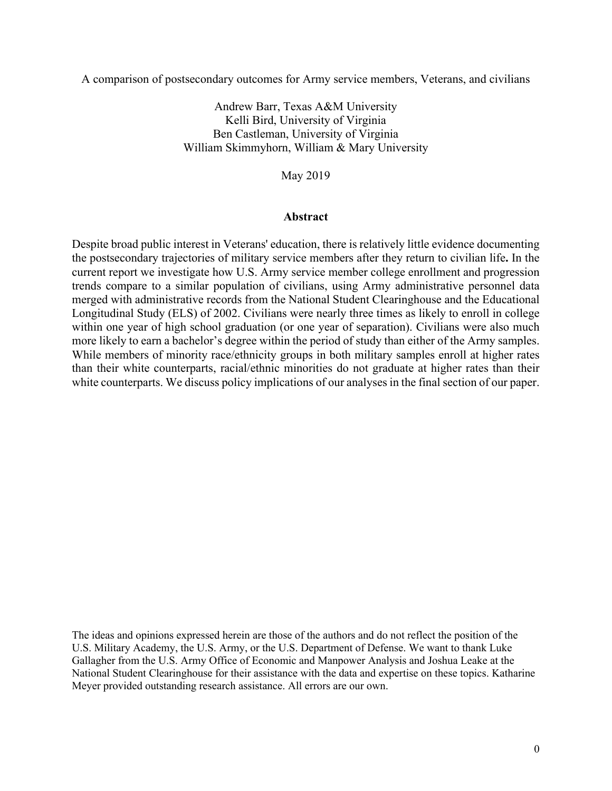A comparison of postsecondary outcomes for Army service members, Veterans, and civilians

Andrew Barr, Texas A&M University Kelli Bird, University of Virginia Ben Castleman, University of Virginia William Skimmyhorn, William & Mary University

May 2019

#### **Abstract**

Despite broad public interest in Veterans' education, there is relatively little evidence documenting the postsecondary trajectories of military service members after they return to civilian life**.** In the current report we investigate how U.S. Army service member college enrollment and progression trends compare to a similar population of civilians, using Army administrative personnel data merged with administrative records from the National Student Clearinghouse and the Educational Longitudinal Study (ELS) of 2002. Civilians were nearly three times as likely to enroll in college within one year of high school graduation (or one year of separation). Civilians were also much more likely to earn a bachelor's degree within the period of study than either of the Army samples. While members of minority race/ethnicity groups in both military samples enroll at higher rates than their white counterparts, racial/ethnic minorities do not graduate at higher rates than their white counterparts. We discuss policy implications of our analyses in the final section of our paper.

The ideas and opinions expressed herein are those of the authors and do not reflect the position of the U.S. Military Academy, the U.S. Army, or the U.S. Department of Defense. We want to thank Luke Gallagher from the U.S. Army Office of Economic and Manpower Analysis and Joshua Leake at the National Student Clearinghouse for their assistance with the data and expertise on these topics. Katharine Meyer provided outstanding research assistance. All errors are our own.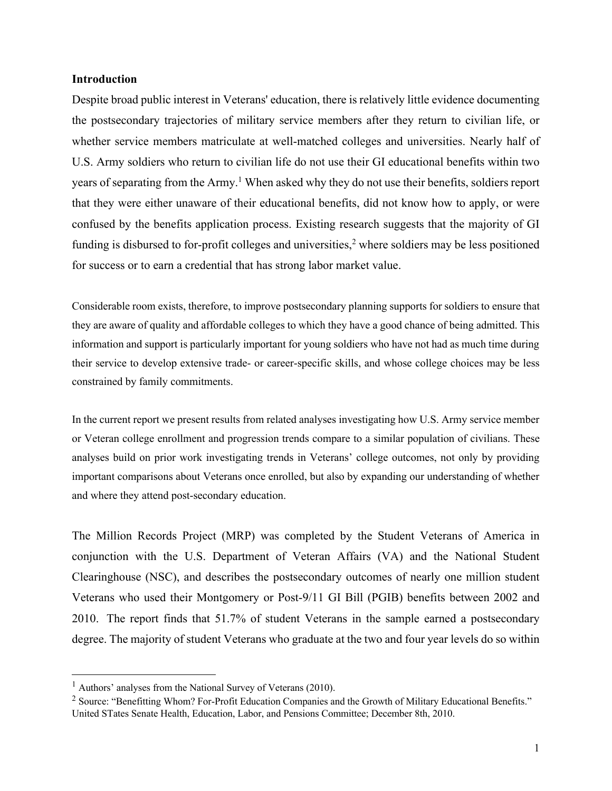#### **Introduction**

Despite broad public interest in Veterans' education, there is relatively little evidence documenting the postsecondary trajectories of military service members after they return to civilian life, or whether service members matriculate at well-matched colleges and universities. Nearly half of U.S. Army soldiers who return to civilian life do not use their GI educational benefits within two years of separating from the Army.<sup>1</sup> When asked why they do not use their benefits, soldiers report that they were either unaware of their educational benefits, did not know how to apply, or were confused by the benefits application process. Existing research suggests that the majority of GI funding is disbursed to for-profit colleges and universities,<sup>2</sup> where soldiers may be less positioned for success or to earn a credential that has strong labor market value.

Considerable room exists, therefore, to improve postsecondary planning supports for soldiers to ensure that they are aware of quality and affordable colleges to which they have a good chance of being admitted. This information and support is particularly important for young soldiers who have not had as much time during their service to develop extensive trade- or career-specific skills, and whose college choices may be less constrained by family commitments.

In the current report we present results from related analyses investigating how U.S. Army service member or Veteran college enrollment and progression trends compare to a similar population of civilians. These analyses build on prior work investigating trends in Veterans' college outcomes, not only by providing important comparisons about Veterans once enrolled, but also by expanding our understanding of whether and where they attend post-secondary education.

The Million Records Project (MRP) was completed by the Student Veterans of America in conjunction with the U.S. Department of Veteran Affairs (VA) and the National Student Clearinghouse (NSC), and describes the postsecondary outcomes of nearly one million student Veterans who used their Montgomery or Post-9/11 GI Bill (PGIB) benefits between 2002 and 2010. The report finds that 51.7% of student Veterans in the sample earned a postsecondary degree. The majority of student Veterans who graduate at the two and four year levels do so within

 $<sup>1</sup>$  Authors' analyses from the National Survey of Veterans (2010).</sup>

<sup>&</sup>lt;sup>2</sup> Source: "Benefitting Whom? For-Profit Education Companies and the Growth of Military Educational Benefits." United STates Senate Health, Education, Labor, and Pensions Committee; December 8th, 2010.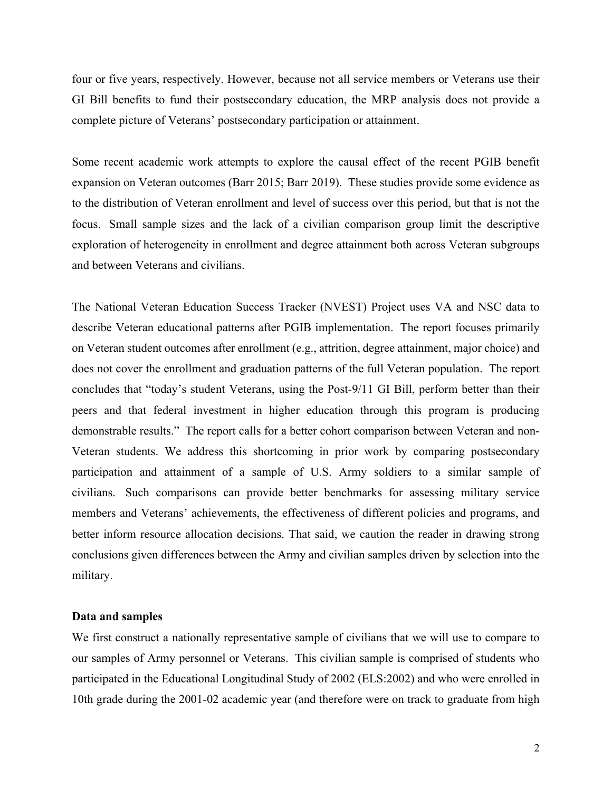four or five years, respectively. However, because not all service members or Veterans use their GI Bill benefits to fund their postsecondary education, the MRP analysis does not provide a complete picture of Veterans' postsecondary participation or attainment.

Some recent academic work attempts to explore the causal effect of the recent PGIB benefit expansion on Veteran outcomes (Barr 2015; Barr 2019). These studies provide some evidence as to the distribution of Veteran enrollment and level of success over this period, but that is not the focus. Small sample sizes and the lack of a civilian comparison group limit the descriptive exploration of heterogeneity in enrollment and degree attainment both across Veteran subgroups and between Veterans and civilians.

The National Veteran Education Success Tracker (NVEST) Project uses VA and NSC data to describe Veteran educational patterns after PGIB implementation. The report focuses primarily on Veteran student outcomes after enrollment (e.g., attrition, degree attainment, major choice) and does not cover the enrollment and graduation patterns of the full Veteran population. The report concludes that "today's student Veterans, using the Post-9/11 GI Bill, perform better than their peers and that federal investment in higher education through this program is producing demonstrable results." The report calls for a better cohort comparison between Veteran and non-Veteran students. We address this shortcoming in prior work by comparing postsecondary participation and attainment of a sample of U.S. Army soldiers to a similar sample of civilians. Such comparisons can provide better benchmarks for assessing military service members and Veterans' achievements, the effectiveness of different policies and programs, and better inform resource allocation decisions. That said, we caution the reader in drawing strong conclusions given differences between the Army and civilian samples driven by selection into the military.

#### **Data and samples**

We first construct a nationally representative sample of civilians that we will use to compare to our samples of Army personnel or Veterans. This civilian sample is comprised of students who participated in the Educational Longitudinal Study of 2002 (ELS:2002) and who were enrolled in 10th grade during the 2001-02 academic year (and therefore were on track to graduate from high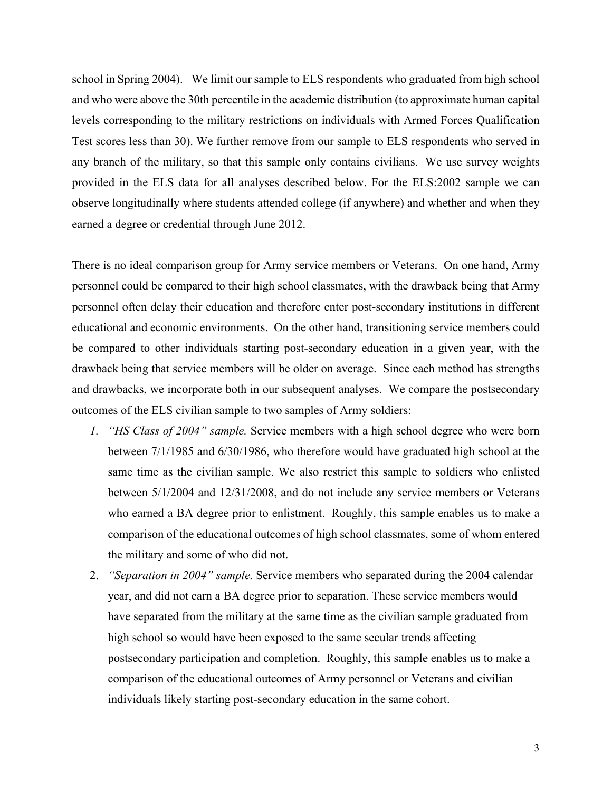school in Spring 2004). We limit our sample to ELS respondents who graduated from high school and who were above the 30th percentile in the academic distribution (to approximate human capital levels corresponding to the military restrictions on individuals with Armed Forces Qualification Test scores less than 30). We further remove from our sample to ELS respondents who served in any branch of the military, so that this sample only contains civilians. We use survey weights provided in the ELS data for all analyses described below. For the ELS:2002 sample we can observe longitudinally where students attended college (if anywhere) and whether and when they earned a degree or credential through June 2012.

There is no ideal comparison group for Army service members or Veterans. On one hand, Army personnel could be compared to their high school classmates, with the drawback being that Army personnel often delay their education and therefore enter post-secondary institutions in different educational and economic environments. On the other hand, transitioning service members could be compared to other individuals starting post-secondary education in a given year, with the drawback being that service members will be older on average. Since each method has strengths and drawbacks, we incorporate both in our subsequent analyses. We compare the postsecondary outcomes of the ELS civilian sample to two samples of Army soldiers:

- *1. "HS Class of 2004" sample.* Service members with a high school degree who were born between 7/1/1985 and 6/30/1986, who therefore would have graduated high school at the same time as the civilian sample. We also restrict this sample to soldiers who enlisted between 5/1/2004 and 12/31/2008, and do not include any service members or Veterans who earned a BA degree prior to enlistment. Roughly, this sample enables us to make a comparison of the educational outcomes of high school classmates, some of whom entered the military and some of who did not.
- 2. *"Separation in 2004" sample.* Service members who separated during the 2004 calendar year, and did not earn a BA degree prior to separation. These service members would have separated from the military at the same time as the civilian sample graduated from high school so would have been exposed to the same secular trends affecting postsecondary participation and completion. Roughly, this sample enables us to make a comparison of the educational outcomes of Army personnel or Veterans and civilian individuals likely starting post-secondary education in the same cohort.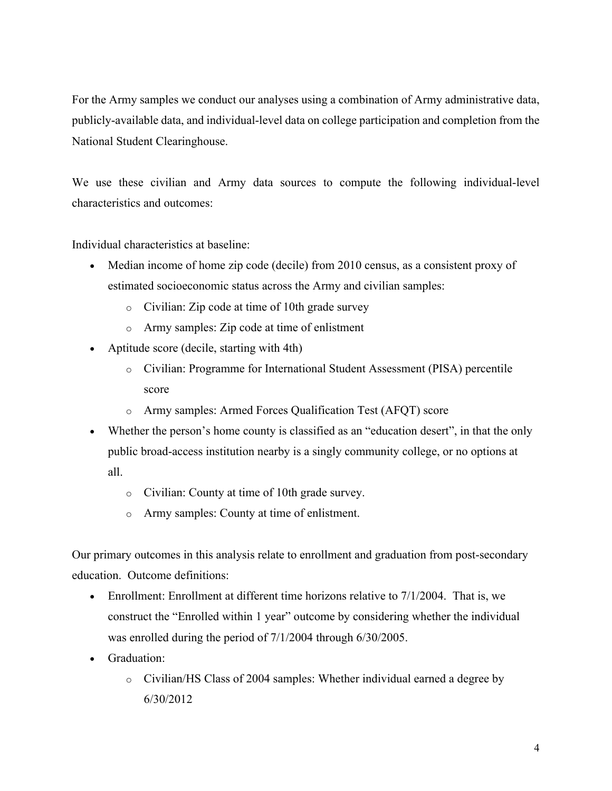For the Army samples we conduct our analyses using a combination of Army administrative data, publicly-available data, and individual-level data on college participation and completion from the National Student Clearinghouse.

We use these civilian and Army data sources to compute the following individual-level characteristics and outcomes:

Individual characteristics at baseline:

- Median income of home zip code (decile) from 2010 census, as a consistent proxy of estimated socioeconomic status across the Army and civilian samples:
	- o Civilian: Zip code at time of 10th grade survey
	- o Army samples: Zip code at time of enlistment
- Aptitude score (decile, starting with 4th)
	- o Civilian: Programme for International Student Assessment (PISA) percentile score
	- o Army samples: Armed Forces Qualification Test (AFQT) score
- Whether the person's home county is classified as an "education desert", in that the only public broad-access institution nearby is a singly community college, or no options at all.
	- o Civilian: County at time of 10th grade survey.
	- o Army samples: County at time of enlistment.

Our primary outcomes in this analysis relate to enrollment and graduation from post-secondary education. Outcome definitions:

- Enrollment: Enrollment at different time horizons relative to 7/1/2004. That is, we construct the "Enrolled within 1 year" outcome by considering whether the individual was enrolled during the period of 7/1/2004 through 6/30/2005.
- Graduation:
	- o Civilian/HS Class of 2004 samples: Whether individual earned a degree by 6/30/2012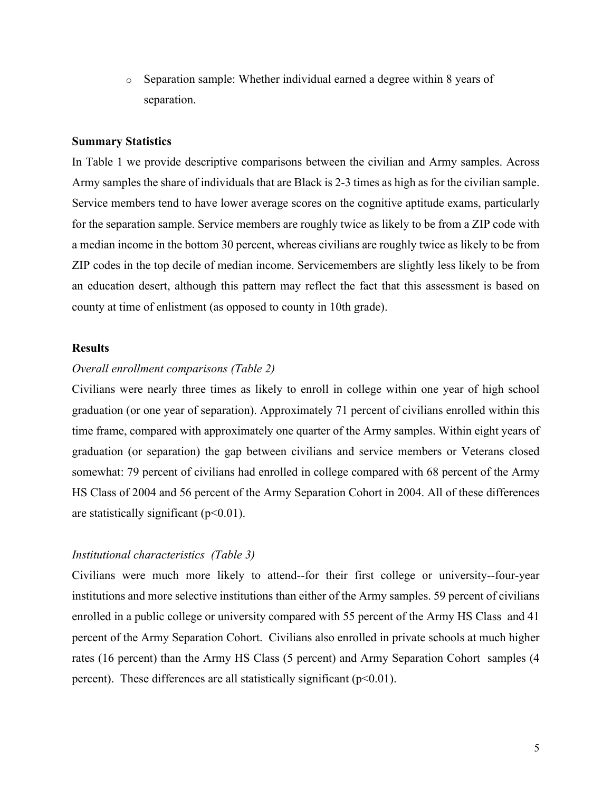o Separation sample: Whether individual earned a degree within 8 years of separation.

#### **Summary Statistics**

In Table 1 we provide descriptive comparisons between the civilian and Army samples. Across Army samples the share of individuals that are Black is 2-3 times as high as for the civilian sample. Service members tend to have lower average scores on the cognitive aptitude exams, particularly for the separation sample. Service members are roughly twice as likely to be from a ZIP code with a median income in the bottom 30 percent, whereas civilians are roughly twice as likely to be from ZIP codes in the top decile of median income. Servicemembers are slightly less likely to be from an education desert, although this pattern may reflect the fact that this assessment is based on county at time of enlistment (as opposed to county in 10th grade).

#### **Results**

#### *Overall enrollment comparisons (Table 2)*

Civilians were nearly three times as likely to enroll in college within one year of high school graduation (or one year of separation). Approximately 71 percent of civilians enrolled within this time frame, compared with approximately one quarter of the Army samples. Within eight years of graduation (or separation) the gap between civilians and service members or Veterans closed somewhat: 79 percent of civilians had enrolled in college compared with 68 percent of the Army HS Class of 2004 and 56 percent of the Army Separation Cohort in 2004. All of these differences are statistically significant  $(p<0.01)$ .

#### *Institutional characteristics (Table 3)*

Civilians were much more likely to attend--for their first college or university--four-year institutions and more selective institutions than either of the Army samples. 59 percent of civilians enrolled in a public college or university compared with 55 percent of the Army HS Class and 41 percent of the Army Separation Cohort. Civilians also enrolled in private schools at much higher rates (16 percent) than the Army HS Class (5 percent) and Army Separation Cohort samples (4 percent). These differences are all statistically significant  $(p<0.01)$ .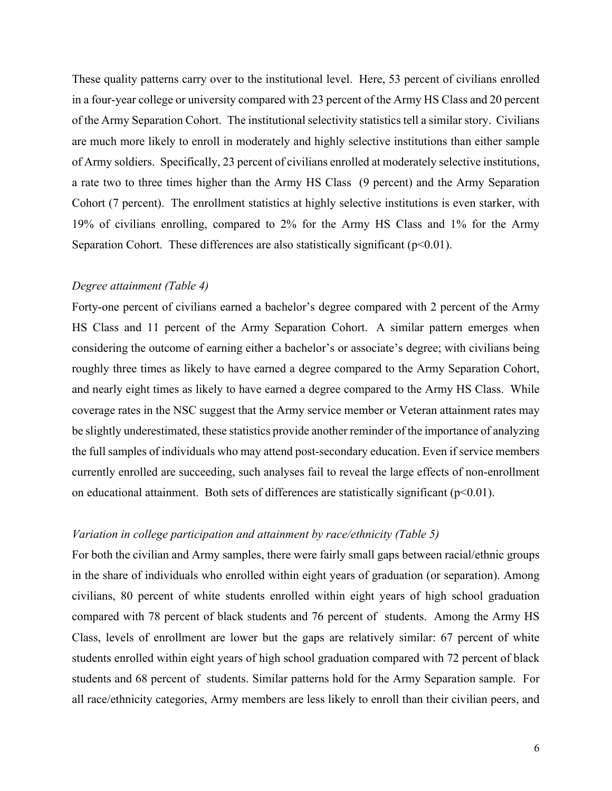These quality patterns carry over to the institutional level. Here, 53 percent of civilians enrolled in a four-year college or university compared with 23 percent of the Army HS Class and 20 percent of the Army Separation Cohort. The institutional selectivity statistics tell a similar story. Civilians are much more likely to enroll in moderately and highly selective institutions than either sample of Army soldiers. Specifically, 23 percent of civilians enrolled at moderately selective institutions, a rate two to three times higher than the Army HS Class (9 percent) and the Army Separation Cohort (7 percent). The enrollment statistics at highly selective institutions is even starker, with 19% of civilians enrolling, compared to 2% for the Army HS Class and 1% for the Army Separation Cohort. These differences are also statistically significant  $(p<0.01)$ .

#### *Degree attainment (Table 4)*

Forty-one percent of civilians earned a bachelor's degree compared with 2 percent of the Army HS Class and 11 percent of the Army Separation Cohort. A similar pattern emerges when considering the outcome of earning either a bachelor's or associate's degree; with civilians being roughly three times as likely to have earned a degree compared to the Army Separation Cohort, and nearly eight times as likely to have earned a degree compared to the Army HS Class. While coverage rates in the NSC suggest that the Army service member or Veteran attainment rates may be slightly underestimated, these statistics provide another reminder of the importance of analyzing the full samples of individuals who may attend post-secondary education. Even if service members currently enrolled are succeeding, such analyses fail to reveal the large effects of non-enrollment on educational attainment. Both sets of differences are statistically significant  $(p<0.01)$ .

#### *Variation in college participation and attainment by race/ethnicity (Table 5)*

For both the civilian and Army samples, there were fairly small gaps between racial/ethnic groups in the share of individuals who enrolled within eight years of graduation (or separation). Among civilians, 80 percent of white students enrolled within eight years of high school graduation compared with 78 percent of black students and 76 percent of students. Among the Army HS Class, levels of enrollment are lower but the gaps are relatively similar: 67 percent of white students enrolled within eight years of high school graduation compared with 72 percent of black students and 68 percent of students. Similar patterns hold for the Army Separation sample. For all race/ethnicity categories, Army members are less likely to enroll than their civilian peers, and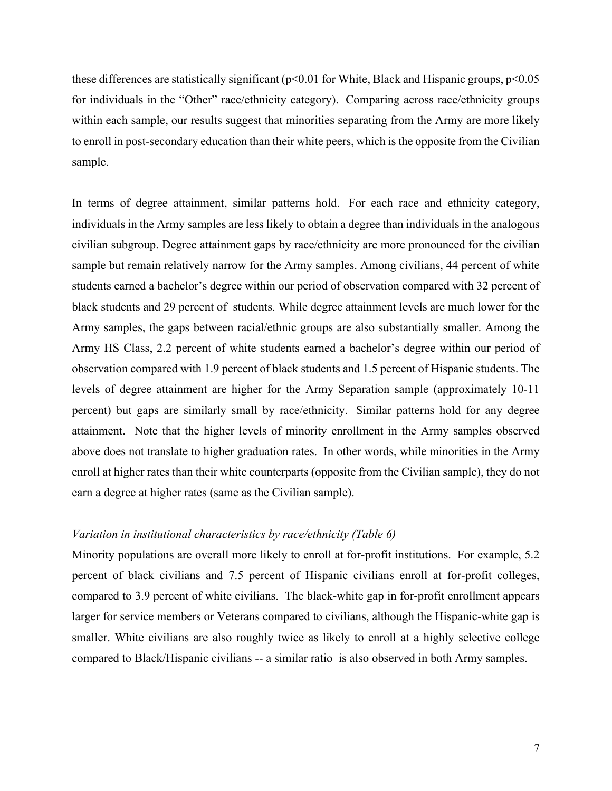these differences are statistically significant ( $p<0.01$  for White, Black and Hispanic groups,  $p<0.05$ ) for individuals in the "Other" race/ethnicity category). Comparing across race/ethnicity groups within each sample, our results suggest that minorities separating from the Army are more likely to enroll in post-secondary education than their white peers, which is the opposite from the Civilian sample.

In terms of degree attainment, similar patterns hold. For each race and ethnicity category, individuals in the Army samples are less likely to obtain a degree than individuals in the analogous civilian subgroup. Degree attainment gaps by race/ethnicity are more pronounced for the civilian sample but remain relatively narrow for the Army samples. Among civilians, 44 percent of white students earned a bachelor's degree within our period of observation compared with 32 percent of black students and 29 percent of students. While degree attainment levels are much lower for the Army samples, the gaps between racial/ethnic groups are also substantially smaller. Among the Army HS Class, 2.2 percent of white students earned a bachelor's degree within our period of observation compared with 1.9 percent of black students and 1.5 percent of Hispanic students. The levels of degree attainment are higher for the Army Separation sample (approximately 10-11 percent) but gaps are similarly small by race/ethnicity. Similar patterns hold for any degree attainment. Note that the higher levels of minority enrollment in the Army samples observed above does not translate to higher graduation rates. In other words, while minorities in the Army enroll at higher rates than their white counterparts (opposite from the Civilian sample), they do not earn a degree at higher rates (same as the Civilian sample).

#### *Variation in institutional characteristics by race/ethnicity (Table 6)*

Minority populations are overall more likely to enroll at for-profit institutions. For example, 5.2 percent of black civilians and 7.5 percent of Hispanic civilians enroll at for-profit colleges, compared to 3.9 percent of white civilians. The black-white gap in for-profit enrollment appears larger for service members or Veterans compared to civilians, although the Hispanic-white gap is smaller. White civilians are also roughly twice as likely to enroll at a highly selective college compared to Black/Hispanic civilians -- a similar ratio is also observed in both Army samples.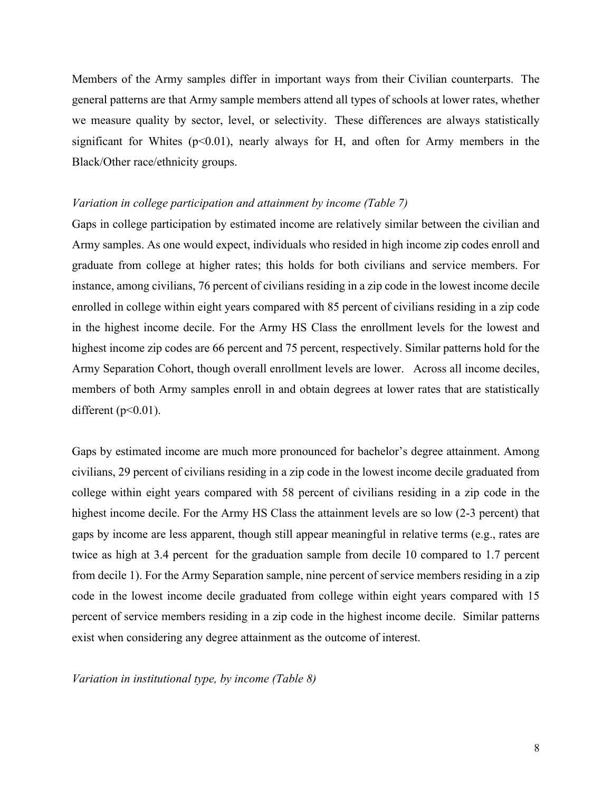Members of the Army samples differ in important ways from their Civilian counterparts. The general patterns are that Army sample members attend all types of schools at lower rates, whether we measure quality by sector, level, or selectivity. These differences are always statistically significant for Whites ( $p<0.01$ ), nearly always for H, and often for Army members in the Black/Other race/ethnicity groups.

#### *Variation in college participation and attainment by income (Table 7)*

Gaps in college participation by estimated income are relatively similar between the civilian and Army samples. As one would expect, individuals who resided in high income zip codes enroll and graduate from college at higher rates; this holds for both civilians and service members. For instance, among civilians, 76 percent of civilians residing in a zip code in the lowest income decile enrolled in college within eight years compared with 85 percent of civilians residing in a zip code in the highest income decile. For the Army HS Class the enrollment levels for the lowest and highest income zip codes are 66 percent and 75 percent, respectively. Similar patterns hold for the Army Separation Cohort, though overall enrollment levels are lower. Across all income deciles, members of both Army samples enroll in and obtain degrees at lower rates that are statistically different  $(p<0.01)$ .

Gaps by estimated income are much more pronounced for bachelor's degree attainment. Among civilians, 29 percent of civilians residing in a zip code in the lowest income decile graduated from college within eight years compared with 58 percent of civilians residing in a zip code in the highest income decile. For the Army HS Class the attainment levels are so low (2-3 percent) that gaps by income are less apparent, though still appear meaningful in relative terms (e.g., rates are twice as high at 3.4 percent for the graduation sample from decile 10 compared to 1.7 percent from decile 1). For the Army Separation sample, nine percent of service members residing in a zip code in the lowest income decile graduated from college within eight years compared with 15 percent of service members residing in a zip code in the highest income decile. Similar patterns exist when considering any degree attainment as the outcome of interest.

*Variation in institutional type, by income (Table 8)*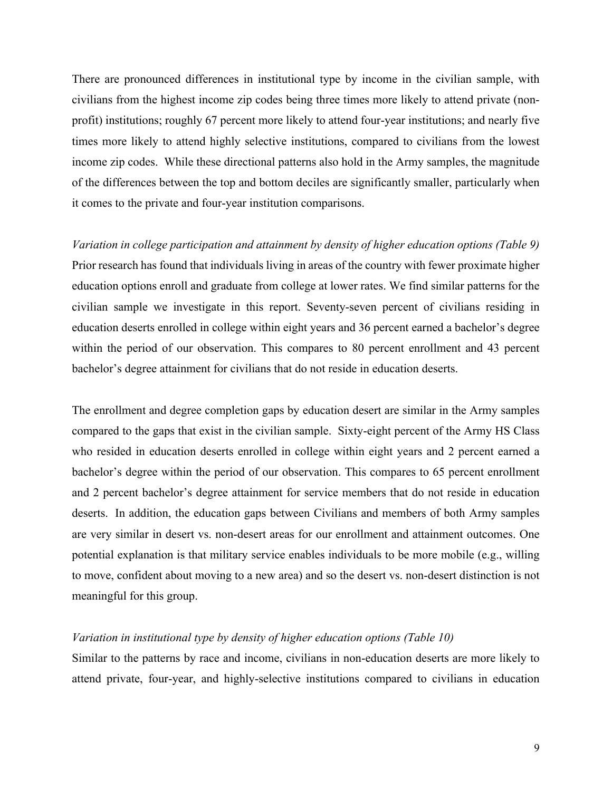There are pronounced differences in institutional type by income in the civilian sample, with civilians from the highest income zip codes being three times more likely to attend private (nonprofit) institutions; roughly 67 percent more likely to attend four-year institutions; and nearly five times more likely to attend highly selective institutions, compared to civilians from the lowest income zip codes. While these directional patterns also hold in the Army samples, the magnitude of the differences between the top and bottom deciles are significantly smaller, particularly when it comes to the private and four-year institution comparisons.

*Variation in college participation and attainment by density of higher education options (Table 9)* Prior research has found that individuals living in areas of the country with fewer proximate higher education options enroll and graduate from college at lower rates. We find similar patterns for the civilian sample we investigate in this report. Seventy-seven percent of civilians residing in education deserts enrolled in college within eight years and 36 percent earned a bachelor's degree within the period of our observation. This compares to 80 percent enrollment and 43 percent bachelor's degree attainment for civilians that do not reside in education deserts.

The enrollment and degree completion gaps by education desert are similar in the Army samples compared to the gaps that exist in the civilian sample. Sixty-eight percent of the Army HS Class who resided in education deserts enrolled in college within eight years and 2 percent earned a bachelor's degree within the period of our observation. This compares to 65 percent enrollment and 2 percent bachelor's degree attainment for service members that do not reside in education deserts. In addition, the education gaps between Civilians and members of both Army samples are very similar in desert vs. non-desert areas for our enrollment and attainment outcomes. One potential explanation is that military service enables individuals to be more mobile (e.g., willing to move, confident about moving to a new area) and so the desert vs. non-desert distinction is not meaningful for this group.

#### *Variation in institutional type by density of higher education options (Table 10)*

Similar to the patterns by race and income, civilians in non-education deserts are more likely to attend private, four-year, and highly-selective institutions compared to civilians in education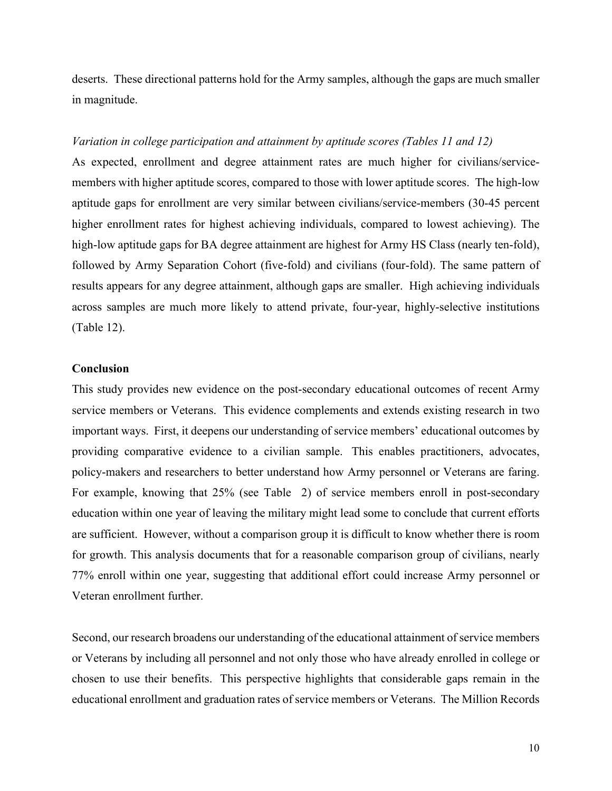deserts. These directional patterns hold for the Army samples, although the gaps are much smaller in magnitude.

#### *Variation in college participation and attainment by aptitude scores (Tables 11 and 12)*

As expected, enrollment and degree attainment rates are much higher for civilians/servicemembers with higher aptitude scores, compared to those with lower aptitude scores. The high-low aptitude gaps for enrollment are very similar between civilians/service-members (30-45 percent higher enrollment rates for highest achieving individuals, compared to lowest achieving). The high-low aptitude gaps for BA degree attainment are highest for Army HS Class (nearly ten-fold), followed by Army Separation Cohort (five-fold) and civilians (four-fold). The same pattern of results appears for any degree attainment, although gaps are smaller. High achieving individuals across samples are much more likely to attend private, four-year, highly-selective institutions (Table 12).

#### **Conclusion**

This study provides new evidence on the post-secondary educational outcomes of recent Army service members or Veterans. This evidence complements and extends existing research in two important ways. First, it deepens our understanding of service members' educational outcomes by providing comparative evidence to a civilian sample. This enables practitioners, advocates, policy-makers and researchers to better understand how Army personnel or Veterans are faring. For example, knowing that 25% (see Table 2) of service members enroll in post-secondary education within one year of leaving the military might lead some to conclude that current efforts are sufficient. However, without a comparison group it is difficult to know whether there is room for growth. This analysis documents that for a reasonable comparison group of civilians, nearly 77% enroll within one year, suggesting that additional effort could increase Army personnel or Veteran enrollment further.

Second, our research broadens our understanding of the educational attainment of service members or Veterans by including all personnel and not only those who have already enrolled in college or chosen to use their benefits. This perspective highlights that considerable gaps remain in the educational enrollment and graduation rates of service members or Veterans. The Million Records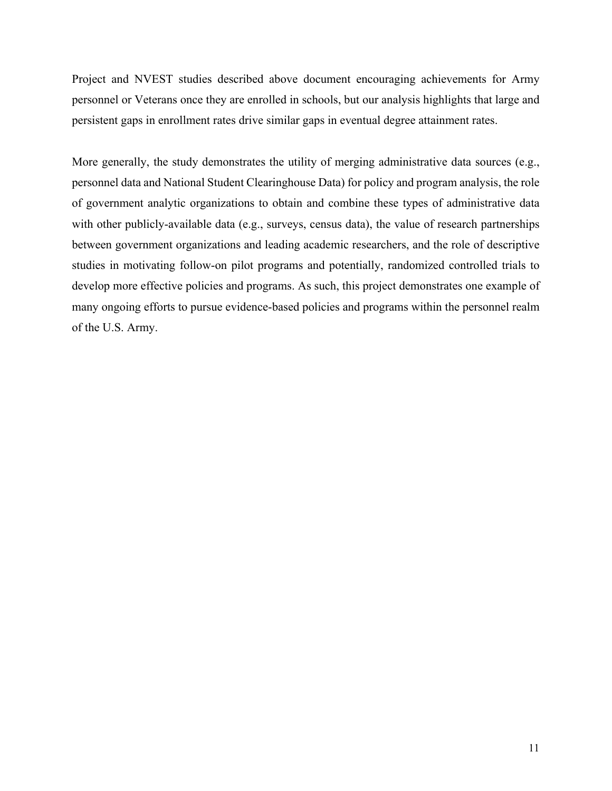Project and NVEST studies described above document encouraging achievements for Army personnel or Veterans once they are enrolled in schools, but our analysis highlights that large and persistent gaps in enrollment rates drive similar gaps in eventual degree attainment rates.

More generally, the study demonstrates the utility of merging administrative data sources (e.g., personnel data and National Student Clearinghouse Data) for policy and program analysis, the role of government analytic organizations to obtain and combine these types of administrative data with other publicly-available data (e.g., surveys, census data), the value of research partnerships between government organizations and leading academic researchers, and the role of descriptive studies in motivating follow-on pilot programs and potentially, randomized controlled trials to develop more effective policies and programs. As such, this project demonstrates one example of many ongoing efforts to pursue evidence-based policies and programs within the personnel realm of the U.S. Army.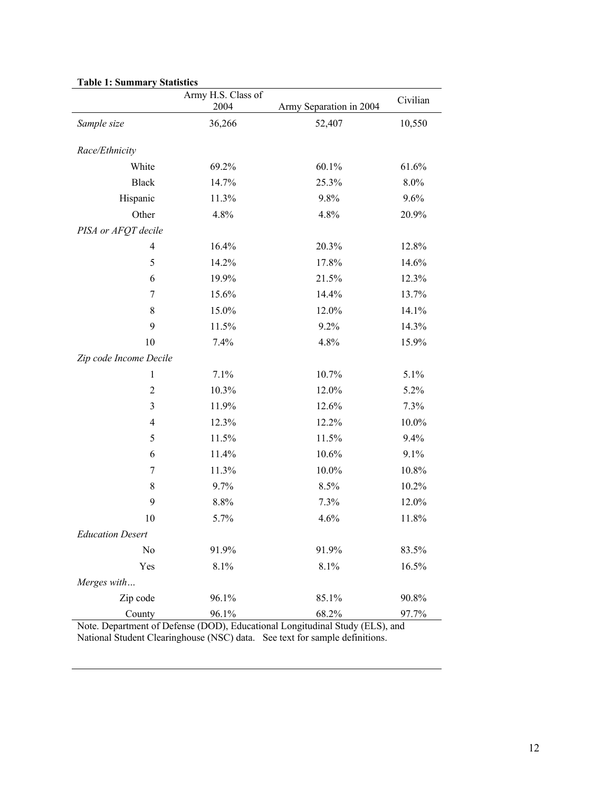|                                | Army H.S. Class of<br>2004 | Army Separation in 2004 | Civilian |
|--------------------------------|----------------------------|-------------------------|----------|
| Sample size                    | 36,266                     | 52,407                  | 10,550   |
|                                |                            |                         |          |
| Race/Ethnicity                 |                            |                         |          |
| White                          | 69.2%                      | 60.1%                   | 61.6%    |
| <b>Black</b>                   | 14.7%                      | 25.3%                   | 8.0%     |
| Hispanic                       | 11.3%                      | 9.8%                    | 9.6%     |
| Other                          | 4.8%                       | 4.8%                    | 20.9%    |
| PISA or AFQT decile            |                            |                         |          |
| 4                              | 16.4%                      | 20.3%                   | 12.8%    |
| 5                              | 14.2%                      | 17.8%                   | 14.6%    |
| 6                              | 19.9%                      | 21.5%                   | 12.3%    |
| 7                              | 15.6%                      | 14.4%                   | 13.7%    |
| 8                              | 15.0%                      | 12.0%                   | 14.1%    |
| 9                              | 11.5%                      | 9.2%                    | 14.3%    |
| 10                             | 7.4%                       | 4.8%                    | 15.9%    |
| Zip code Income Decile         |                            |                         |          |
| $\mathbf{1}$                   | 7.1%                       | 10.7%                   | 5.1%     |
| $\overline{c}$                 | 10.3%                      | 12.0%                   | 5.2%     |
| 3                              | 11.9%                      | 12.6%                   | 7.3%     |
| $\overline{\mathcal{L}}$       | 12.3%                      | 12.2%                   | 10.0%    |
| 5                              | 11.5%                      | 11.5%                   | 9.4%     |
| 6                              | 11.4%                      | 10.6%                   | 9.1%     |
| 7                              | 11.3%                      | $10.0\%$                | 10.8%    |
| 8                              | 9.7%                       | 8.5%                    | 10.2%    |
| 9                              | 8.8%                       | 7.3%                    | 12.0%    |
| 10                             | 5.7%                       | 4.6%                    | 11.8%    |
| <i><b>Education Desert</b></i> |                            |                         |          |
| No                             | 91.9%                      | 91.9%                   | 83.5%    |
| Yes                            | 8.1%                       | 8.1%                    | 16.5%    |
| Merges with                    |                            |                         |          |
| Zip code                       | 96.1%                      | 85.1%                   | 90.8%    |
| County                         | 96.1%                      | 68.2%                   | 97.7%    |

**Table 1: Summary Statistics**

Note. Department of Defense (DOD), Educational Longitudinal Study (ELS), and National Student Clearinghouse (NSC) data. See text for sample definitions.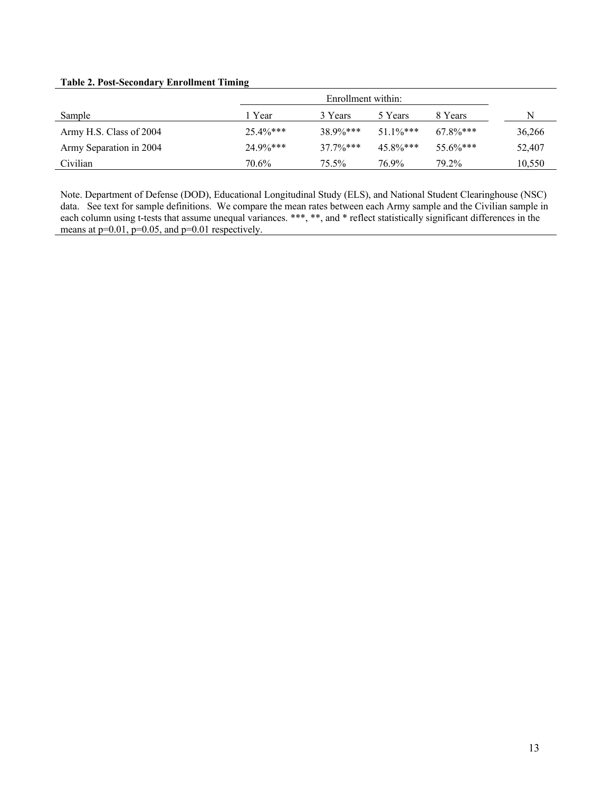#### **Table 2. Post-Secondary Enrollment Timing**

| Sample                  | Year        | 3 Years     | 5 Years     | 8 Years     | N      |
|-------------------------|-------------|-------------|-------------|-------------|--------|
| Army H.S. Class of 2004 | $25.4\%***$ | $38.9\%***$ | $511\%***$  | $67.8\%***$ | 36,266 |
| Army Separation in 2004 | $24.9\%***$ | $37.7\%***$ | $45.8\%***$ | $55.6\%***$ | 52,407 |
| Civilian                | 70.6%       | 75.5%       | 76.9%       | 79.2%       | 10,550 |

Note. Department of Defense (DOD), Educational Longitudinal Study (ELS), and National Student Clearinghouse (NSC) data. See text for sample definitions. We compare the mean rates between each Army sample and the Civilian sample in each column using t-tests that assume unequal variances. \*\*\*, \*\*, and \* reflect statistically significant differences in the means at  $p=0.01$ ,  $p=0.05$ , and  $p=0.01$  respectively.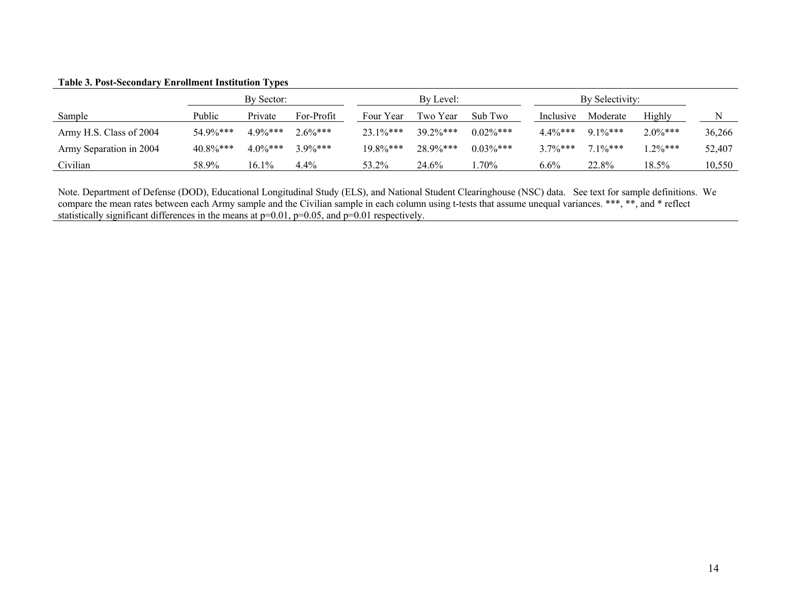#### **Table 3. Post-Secondary Enrollment Institution Types**

|                         |          | By Sector: |            |             | By Level:   |              | By Selectivity: |            |            |        |
|-------------------------|----------|------------|------------|-------------|-------------|--------------|-----------------|------------|------------|--------|
| Sample                  | Public   | Private    | For-Profit | Four Year   | Two Year    | Sub Two      | Inclusive       | Moderate   | Highly     |        |
| Army H.S. Class of 2004 | 54.9%*** | $4.9\%***$ | $2.6\%***$ | $23.1\%***$ | $39.2\%***$ | $0.02\%$ *** | $4.4\%***$      | $9.1\%***$ | $2.0\%***$ | 36,266 |
| Army Separation in 2004 | 40.8%*** | $4.0\%***$ | $3.9\%***$ | $19.8\%***$ | 28.9%***    | $0.03\%$ *** | $3.7\%***$      | $1\%***$   | $.2\%***$  | 52,407 |
| Civilian                | 58.9%    | 16.1%      | 4.4%       | 53.2%       | 24.6%       | 1.70%        | $6.6\%$         | 22.8%      | 18.5%      | 10,550 |

Note. Department of Defense (DOD), Educational Longitudinal Study (ELS), and National Student Clearinghouse (NSC) data. See text for sample definitions. We compare the mean rates between each Army sample and the Civilian sample in each column using t-tests that assume unequal variances. \*\*\*, \*\*, and \* reflect statistically significant differences in the means at  $p=0.01$ ,  $p=0.05$ , and  $p=0.01$  respectively.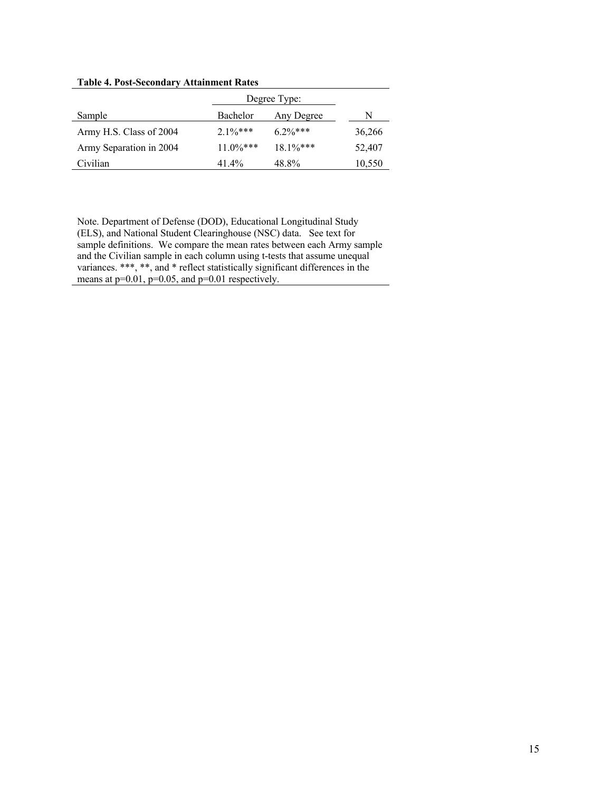**Table 4. Post-Secondary Attainment Rates**

|                         |             | Degree Type: |        |  |  |  |  |
|-------------------------|-------------|--------------|--------|--|--|--|--|
| Sample                  | Bachelor    | Any Degree   | N      |  |  |  |  |
| Army H.S. Class of 2004 | $2.1\%***$  | $6.2\%***$   | 36,266 |  |  |  |  |
| Army Separation in 2004 | $11.0\%***$ | $181\%***$   | 52,407 |  |  |  |  |
| Civilian                | $41.4\%$    | 48.8%        | 10,550 |  |  |  |  |

Note. Department of Defense (DOD), Educational Longitudinal Study (ELS), and National Student Clearinghouse (NSC) data. See text for sample definitions. We compare the mean rates between each Army sample and the Civilian sample in each column using t-tests that assume unequal variances. \*\*\*, \*\*, and \* reflect statistically significant differences in the means at  $p=0.01$ ,  $p=0.05$ , and  $p=0.01$  respectively.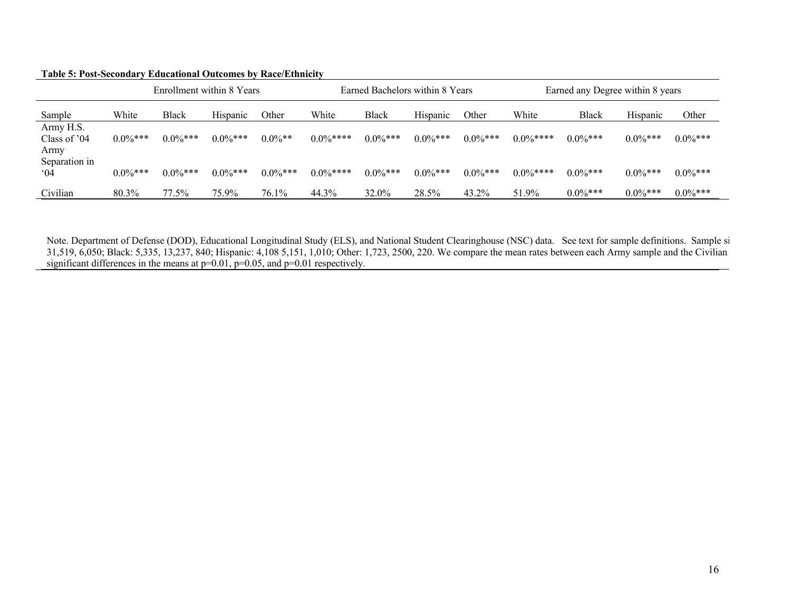|                                   | Enrollment within 8 Years |              |            |            | Earned Bachelors within 8 Years |              |            |            | Earned any Degree within 8 years |              |            |            |
|-----------------------------------|---------------------------|--------------|------------|------------|---------------------------------|--------------|------------|------------|----------------------------------|--------------|------------|------------|
| Sample                            | White                     | <b>Black</b> | Hispanic   | Other      | White                           | <b>Black</b> | Hispanic   | Other      | White                            | <b>Black</b> | Hispanic   | Other      |
| Army H.S.<br>Class of '04<br>Army | $0.0\%***$                | $0.0\%***$   | $0.0\%***$ | $0.0\%$ ** | $0.0\%***$                      | $0.0\%***$   | $0.0\%***$ | $0.0\%***$ | $0.0\%***$                       | $0.0\%***$   | $0.0\%***$ | $0.0\%***$ |
| Separation in<br>'04              | $0.0\%***$                | $0.0\%***$   | $0.0\%***$ | $0.0\%***$ | $0.0\%***$                      | $0.0\%***$   | $0.0\%***$ | $0.0\%***$ | $0.0\%***$                       | $0.0\%***$   | $0.0\%***$ | $0.0\%***$ |
| Civilian                          | 80.3%                     | $77.5\%$     | 75.9%      | 76.1%      | 44.3%                           | 32.0%        | 28.5%      | 43.2%      | 51.9%                            | $0.0\%***$   | $0.0\%***$ | $0.0\%***$ |

#### **Table 5: Post-Secondary Educational Outcomes by Race/Ethnicity**

Note. Department of Defense (DOD), Educational Longitudinal Study (ELS), and National Student Clearinghouse (NSC) data. See text for sample definitions. Sample si 31,519, 6,050; Black: 5,335, 13,237, 840; Hispanic: 4,108 5,151, 1,010; Other: 1,723, 2500, 220. We compare the mean rates between each Army sample and the Civilian significant differences in the means at  $p=0.01$ ,  $p=0.05$ , and  $p=0.01$  respectively.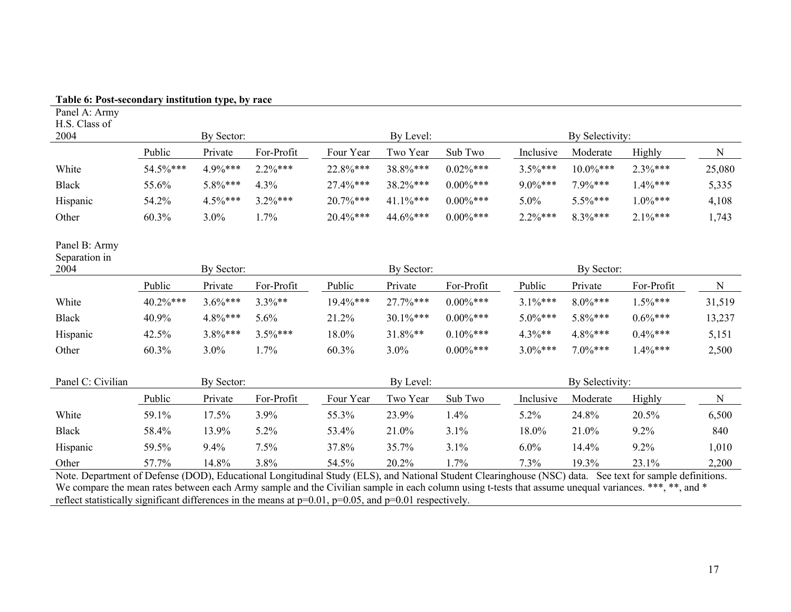| Table 0. I 0st-secondary modificition type, by race<br>Panel A: Army<br>H.S. Class of                                                                                                                                                                                                                                                                                                                                               |          |            |            |           |            |             |            |                 |             |             |
|-------------------------------------------------------------------------------------------------------------------------------------------------------------------------------------------------------------------------------------------------------------------------------------------------------------------------------------------------------------------------------------------------------------------------------------|----------|------------|------------|-----------|------------|-------------|------------|-----------------|-------------|-------------|
| 2004                                                                                                                                                                                                                                                                                                                                                                                                                                |          | By Sector: |            |           | By Level:  |             |            | By Selectivity: |             |             |
|                                                                                                                                                                                                                                                                                                                                                                                                                                     | Public   | Private    | For-Profit | Four Year | Two Year   | Sub Two     | Inclusive  | Moderate        | Highly      | $\mathbf N$ |
| White                                                                                                                                                                                                                                                                                                                                                                                                                               | 54.5%*** | $4.9\%***$ | $2.2%***$  | 22.8%***  | 38.8%***   | $0.02\%***$ | $3.5\%***$ | $10.0\%***$     | $2.3%***$   | 25,080      |
| <b>Black</b>                                                                                                                                                                                                                                                                                                                                                                                                                        | 55.6%    | 5.8%***    | 4.3%       | 27.4%***  | 38.2%***   | $0.00\%***$ | $9.0\%***$ | $7.9\%***$      | $1.4\%***$  | 5,335       |
| Hispanic                                                                                                                                                                                                                                                                                                                                                                                                                            | 54.2%    | $4.5\%***$ | $3.2\%***$ | 20.7%***  | 41.1%***   | $0.00\%***$ | 5.0%       | $5.5\%***$      | $1.0\%***$  | 4,108       |
| Other                                                                                                                                                                                                                                                                                                                                                                                                                               | 60.3%    | 3.0%       | 1.7%       | 20.4%***  | 44.6%***   | $0.00\%***$ | $2.2\%***$ | $8.3\%***$      | $2.1\%***$  | 1,743       |
| Panel B: Army<br>Separation in<br>2004                                                                                                                                                                                                                                                                                                                                                                                              |          | By Sector: |            |           | By Sector: |             |            | By Sector:      |             |             |
|                                                                                                                                                                                                                                                                                                                                                                                                                                     | Public   | Private    | For-Profit | Public    | Private    | For-Profit  | Public     | Private         | For-Profit  | N           |
| White                                                                                                                                                                                                                                                                                                                                                                                                                               | 40.2%*** | $3.6\%***$ | $3.3\%**$  | 19.4%***  | 27.7%***   | $0.00\%***$ | $3.1\%***$ | $8.0\%***$      | $1.5\%$ *** |             |
| <b>Black</b>                                                                                                                                                                                                                                                                                                                                                                                                                        | 40.9%    | $4.8\%***$ | 5.6%       | 21.2%     | 30.1%***   | $0.00\%***$ | $5.0\%***$ | 5.8%***         | $0.6\%***$  | 31,519      |
|                                                                                                                                                                                                                                                                                                                                                                                                                                     |          |            |            |           |            |             |            |                 |             | 13,237      |
| Hispanic                                                                                                                                                                                                                                                                                                                                                                                                                            | 42.5%    | $3.8\%***$ | $3.5\%***$ | 18.0%     | 31.8%**    | $0.10\%***$ | $4.3\%**$  | $4.8\%***$      | $0.4\%***$  | 5,151       |
| Other                                                                                                                                                                                                                                                                                                                                                                                                                               | 60.3%    | 3.0%       | 1.7%       | 60.3%     | 3.0%       | $0.00\%***$ | $3.0\%***$ | $7.0\%***$      | $1.4\%***$  | 2,500       |
| Panel C: Civilian                                                                                                                                                                                                                                                                                                                                                                                                                   |          | By Sector: |            |           | By Level:  |             |            | By Selectivity: |             |             |
|                                                                                                                                                                                                                                                                                                                                                                                                                                     | Public   | Private    | For-Profit | Four Year | Two Year   | Sub Two     | Inclusive  | Moderate        | Highly      | N           |
| White                                                                                                                                                                                                                                                                                                                                                                                                                               | 59.1%    | 17.5%      | 3.9%       | 55.3%     | 23.9%      | 1.4%        | 5.2%       | 24.8%           | 20.5%       | 6,500       |
| <b>Black</b>                                                                                                                                                                                                                                                                                                                                                                                                                        | 58.4%    | 13.9%      | 5.2%       | 53.4%     | 21.0%      | 3.1%        | 18.0%      | 21.0%           | 9.2%        | 840         |
| Hispanic                                                                                                                                                                                                                                                                                                                                                                                                                            | 59.5%    | 9.4%       | 7.5%       | 37.8%     | 35.7%      | 3.1%        | $6.0\%$    | 14.4%           | 9.2%        | 1,010       |
| Other                                                                                                                                                                                                                                                                                                                                                                                                                               | 57.7%    | 14.8%      | 3.8%       | 54.5%     | 20.2%      | 1.7%        | 7.3%       | 19.3%           | 23.1%       | 2,200       |
| Note. Department of Defense (DOD), Educational Longitudinal Study (ELS), and National Student Clearinghouse (NSC) data. See text for sample definitions.<br>We compare the mean rates between each Army sample and the Civilian sample in each column using t-tests that assume unequal variances. ***, **, and *<br>reflect statistically significant differences in the means at $p=0.01$ , $p=0.05$ , and $p=0.01$ respectively. |          |            |            |           |            |             |            |                 |             |             |

# **Table 6: Post-secondary institution type, by race**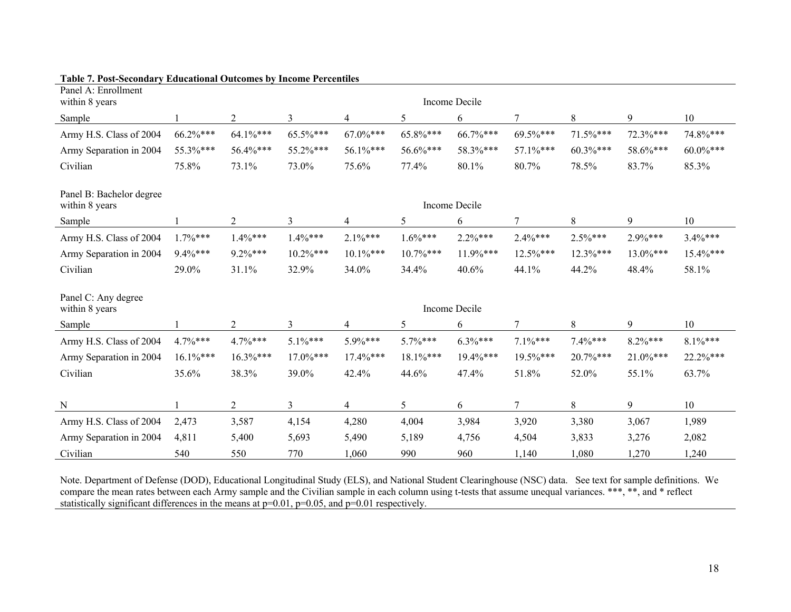| Panel A: Enrollment<br>within 8 years      |               |                |             |             |             | Income Decile |            |             |             |             |  |  |
|--------------------------------------------|---------------|----------------|-------------|-------------|-------------|---------------|------------|-------------|-------------|-------------|--|--|
| Sample                                     |               | 2              | 3           | 4           | 5           | 6             | 7          | 8           | 9           | 10          |  |  |
| Army H.S. Class of 2004                    | $66.2\%***$   | 64.1%***       | 65.5%***    | $67.0\%***$ | 65.8%***    | 66.7%***      | 69.5%***   | $71.5\%***$ | 72.3%***    | 74.8%***    |  |  |
| Army Separation in 2004                    | 55.3%***      | 56.4%***       | 55.2%***    | 56.1%***    | 56.6%***    | 58.3%***      | 57.1%***   | $60.3\%***$ | 58.6%***    | $60.0\%***$ |  |  |
| Civilian                                   | 75.8%         | 73.1%          | 73.0%       | 75.6%       | 77.4%       | 80.1%         | 80.7%      | 78.5%       | 83.7%       | 85.3%       |  |  |
| Panel B: Bachelor degree<br>within 8 years | Income Decile |                |             |             |             |               |            |             |             |             |  |  |
| Sample                                     |               | 2              | 3           | 4           | 5           | 6             | 7          | 8           | 9           | 10          |  |  |
| Army H.S. Class of 2004                    | $1.7\%***$    | $1.4\%***$     | $1.4\%***$  | $2.1\%***$  | $1.6\%***$  | $2.2\%***$    | $2.4\%***$ | $2.5\%***$  | $2.9\%***$  | $3.4\%***$  |  |  |
| Army Separation in 2004                    | 9.4%***       | $9.2\%***$     | $10.2\%***$ | $10.1\%***$ | $10.7\%***$ | $11.9\%***$   | 12.5%***   | $12.3\%***$ | 13.0%***    | 15.4%***    |  |  |
| Civilian                                   | 29.0%         | 31.1%          | 32.9%       | 34.0%       | 34.4%       | 40.6%         | 44.1%      | 44.2%       | 48.4%       | 58.1%       |  |  |
| Panel C: Any degree<br>within 8 years      |               |                |             |             |             | Income Decile |            |             |             |             |  |  |
| Sample                                     |               | $\overline{2}$ | 3           | 4           | 5           | 6             | 7          | 8           | 9           | 10          |  |  |
| Army H.S. Class of 2004                    | $4.7\%***$    | $4.7\%***$     | $5.1\%***$  | 5.9%***     | $5.7\%***$  | $6.3\%***$    | $7.1\%***$ | $7.4\%***$  | $8.2\%***$  | $8.1\%***$  |  |  |
| Army Separation in 2004                    | $16.1\%***$   | 16.3%***       | $17.0\%***$ | 17.4%***    | 18.1%***    | 19.4%***      | 19.5%***   | $20.7\%***$ | $21.0\%***$ | 22.2%***    |  |  |
| Civilian                                   | 35.6%         | 38.3%          | 39.0%       | 42.4%       | 44.6%       | 47.4%         | 51.8%      | 52.0%       | 55.1%       | 63.7%       |  |  |
| N                                          |               | $\overline{2}$ | 3           | 4           | 5           | 6             | 7          | 8           | 9           | 10          |  |  |
| Army H.S. Class of 2004                    | 2,473         | 3,587          | 4,154       | 4,280       | 4,004       | 3,984         | 3,920      | 3,380       | 3,067       | 1,989       |  |  |
| Army Separation in 2004                    | 4,811         | 5,400          | 5,693       | 5,490       | 5,189       | 4,756         | 4,504      | 3,833       | 3,276       | 2,082       |  |  |
| Civilian                                   | 540           | 550            | 770         | 1,060       | 990         | 960           | 1,140      | 1,080       | 1,270       | 1,240       |  |  |

#### **Table 7. Post-Secondary Educational Outcomes by Income Percentiles**

Note. Department of Defense (DOD), Educational Longitudinal Study (ELS), and National Student Clearinghouse (NSC) data. See text for sample definitions. We compare the mean rates between each Army sample and the Civilian sample in each column using t-tests that assume unequal variances. \*\*\*, \*\*, and \* reflect statistically significant differences in the means at  $p=0.01$ ,  $p=0.05$ , and  $p=0.01$  respectively.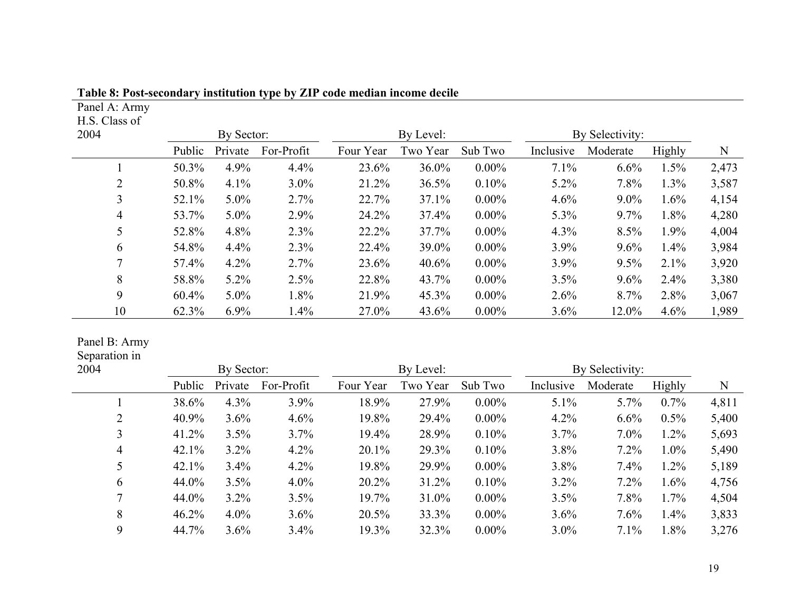| H.S. Class of  |        |            |            |           |           |          |                 |          |         |       |
|----------------|--------|------------|------------|-----------|-----------|----------|-----------------|----------|---------|-------|
| 2004           |        | By Sector: |            |           | By Level: |          | By Selectivity: |          |         |       |
|                | Public | Private    | For-Profit | Four Year | Two Year  | Sub Two  | Inclusive       | Moderate | Highly  | N     |
|                | 50.3%  | 4.9%       | 4.4%       | 23.6%     | 36.0%     | $0.00\%$ | 7.1%            | 6.6%     | 1.5%    | 2,473 |
| $\overline{2}$ | 50.8%  | 4.1%       | $3.0\%$    | 21.2%     | 36.5%     | 0.10%    | $5.2\%$         | 7.8%     | 1.3%    | 3,587 |
| 3              | 52.1%  | $5.0\%$    | 2.7%       | 22.7%     | 37.1%     | $0.00\%$ | 4.6%            | $9.0\%$  | $1.6\%$ | 4,154 |
| 4              | 53.7%  | $5.0\%$    | 2.9%       | 24.2%     | 37.4%     | $0.00\%$ | 5.3%            | 9.7%     | 1.8%    | 4,280 |
| 5              | 52.8%  | 4.8%       | 2.3%       | 22.2%     | 37.7%     | $0.00\%$ | 4.3%            | 8.5%     | $1.9\%$ | 4,004 |
| 6              | 54.8%  | 4.4%       | 2.3%       | 22.4%     | 39.0%     | $0.00\%$ | 3.9%            | 9.6%     | 1.4%    | 3,984 |
| 7              | 57.4%  | 4.2%       | 2.7%       | 23.6%     | 40.6%     | $0.00\%$ | 3.9%            | 9.5%     | 2.1%    | 3,920 |
| 8              | 58.8%  | 5.2%       | 2.5%       | 22.8%     | 43.7%     | $0.00\%$ | 3.5%            | 9.6%     | 2.4%    | 3,380 |
| 9              | 60.4%  | $5.0\%$    | 1.8%       | 21.9%     | 45.3%     | $0.00\%$ | 2.6%            | 8.7%     | 2.8%    | 3,067 |
| 10             | 62.3%  | 6.9%       | 1.4%       | 27.0%     | 43.6%     | $0.00\%$ | 3.6%            | 12.0%    | 4.6%    | 1,989 |

## **Table 8: Post-secondary institution type by ZIP code median income decile**

# Panel B: Army

Panel A: Army

### Separation in

| 2004 | By Sector: |         |            |           | By Level: |          | By Selectivity: |          |         |       |
|------|------------|---------|------------|-----------|-----------|----------|-----------------|----------|---------|-------|
|      | Public     | Private | For-Profit | Four Year | Two Year  | Sub Two  | Inclusive       | Moderate | Highly  | N     |
|      | 38.6%      | 4.3%    | 3.9%       | 18.9%     | 27.9%     | $0.00\%$ | 5.1%            | $5.7\%$  | $0.7\%$ | 4,811 |
| ∍    | 40.9%      | 3.6%    | 4.6%       | 19.8%     | 29.4%     | $0.00\%$ | 4.2%            | 6.6%     | $0.5\%$ | 5,400 |
| 3    | 41.2%      | 3.5%    | 3.7%       | 19.4%     | 28.9%     | 0.10%    | 3.7%            | $7.0\%$  | $1.2\%$ | 5,693 |
| 4    | 42.1%      | $3.2\%$ | 4.2%       | 20.1%     | 29.3%     | 0.10%    | 3.8%            | 7.2%     | $1.0\%$ | 5,490 |
|      | 42.1%      | 3.4%    | 4.2%       | 19.8%     | 29.9%     | $0.00\%$ | 3.8%            | 7.4%     | $1.2\%$ | 5,189 |
| 6    | 44.0%      | 3.5%    | $4.0\%$    | 20.2%     | 31.2%     | 0.10%    | $3.2\%$         | 7.2%     | 1.6%    | 4,756 |
| 7    | 44.0%      | $3.2\%$ | 3.5%       | 19.7%     | 31.0%     | $0.00\%$ | 3.5%            | 7.8%     | $1.7\%$ | 4,504 |
| 8    | 46.2%      | $4.0\%$ | 3.6%       | 20.5%     | 33.3%     | $0.00\%$ | 3.6%            | 7.6%     | 1.4%    | 3,833 |
| 9    | 44.7%      | 3.6%    | 3.4%       | 19.3%     | 32.3%     | $0.00\%$ | $3.0\%$         | 7.1%     | 1.8%    | 3,276 |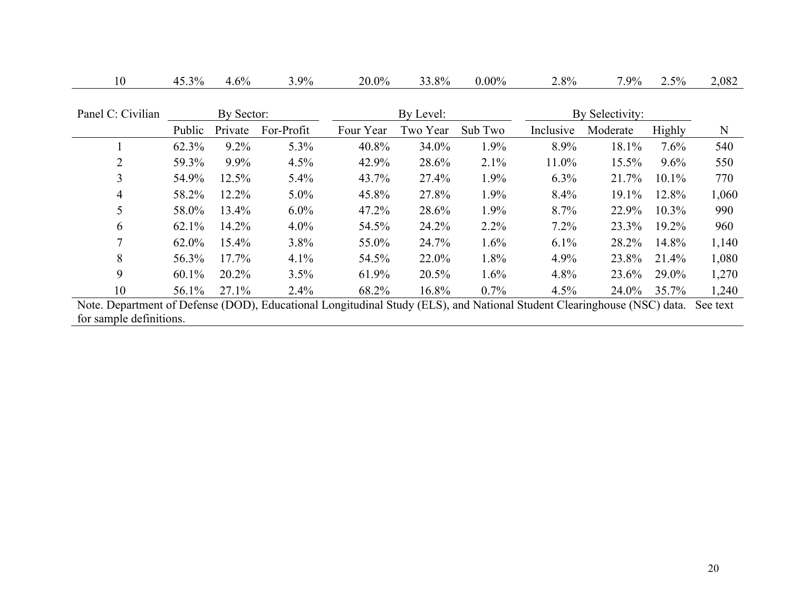| 10                                                                                                                      | 45.3%    | 4.6%       | 3.9%       | 20.0%     | 33.8%    | $0.00\%$ | 2.8%            | $7.9\%$  | 2.5%     | 2,082    |
|-------------------------------------------------------------------------------------------------------------------------|----------|------------|------------|-----------|----------|----------|-----------------|----------|----------|----------|
| Panel C: Civilian                                                                                                       |          | By Sector: |            | By Level: |          |          | By Selectivity: |          |          |          |
|                                                                                                                         | Public   | Private    | For-Profit | Four Year | Two Year | Sub Two  | Inclusive       | Moderate | Highly   | N        |
|                                                                                                                         | 62.3%    | $9.2\%$    | 5.3%       | 40.8%     | 34.0%    | $1.9\%$  | 8.9%            | 18.1%    | 7.6%     | 540      |
| 2                                                                                                                       | 59.3%    | 9.9%       | 4.5%       | 42.9%     | 28.6%    | 2.1%     | 11.0%           | 15.5%    | $9.6\%$  | 550      |
| 3                                                                                                                       | 54.9%    | 12.5%      | 5.4%       | 43.7%     | 27.4%    | $1.9\%$  | $6.3\%$         | 21.7%    | $10.1\%$ | 770      |
| 4                                                                                                                       | 58.2%    | 12.2%      | $5.0\%$    | 45.8%     | 27.8%    | $1.9\%$  | 8.4%            | 19.1%    | 12.8%    | 1,060    |
|                                                                                                                         | 58.0%    | 13.4%      | $6.0\%$    | 47.2%     | 28.6%    | $1.9\%$  | 8.7%            | 22.9%    | $10.3\%$ | 990      |
| 6                                                                                                                       | $62.1\%$ | 14.2%      | $4.0\%$    | 54.5%     | 24.2%    | $2.2\%$  | $7.2\%$         | 23.3%    | 19.2%    | 960      |
|                                                                                                                         | 62.0%    | $15.4\%$   | $3.8\%$    | 55.0%     | 24.7%    | $1.6\%$  | 6.1%            | 28.2%    | 14.8%    | 1,140    |
| 8                                                                                                                       | 56.3%    | $17.7\%$   | 4.1%       | 54.5%     | 22.0%    | 1.8%     | 4.9%            | 23.8%    | 21.4%    | 1,080    |
| 9                                                                                                                       | $60.1\%$ | 20.2%      | 3.5%       | 61.9%     | 20.5%    | $1.6\%$  | 4.8%            | 23.6%    | 29.0%    | 1,270    |
| 10                                                                                                                      | 56.1%    | 27.1%      | $2.4\%$    | 68.2%     | 16.8%    | $0.7\%$  | 4.5%            | 24.0%    | 35.7%    | 1,240    |
| Note. Department of Defense (DOD), Educational Longitudinal Study (ELS), and National Student Clearinghouse (NSC) data. |          |            |            |           |          |          |                 |          |          | See text |
| for sample definitions.                                                                                                 |          |            |            |           |          |          |                 |          |          |          |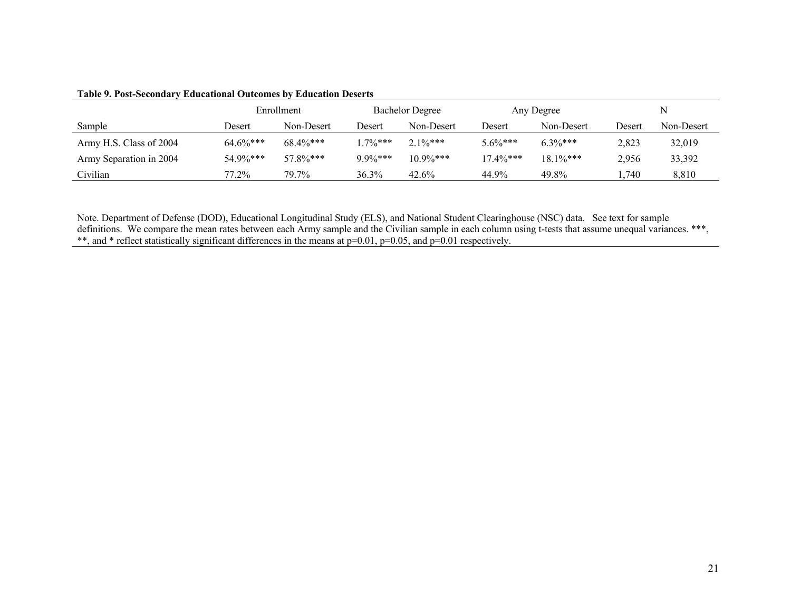|                         | Enrollment  |             | <b>Bachelor Degree</b> |             |             | Any Degree  | N      |            |  |
|-------------------------|-------------|-------------|------------------------|-------------|-------------|-------------|--------|------------|--|
| Sample                  | Desert      | Non-Desert  | Desert                 | Non-Desert  | Desert      | Non-Desert  | Desert | Non-Desert |  |
| Army H.S. Class of 2004 | $64.6\%***$ | $68.4\%***$ | $.7\%$ ***             | $2.1\%***$  | $5.6\%***$  | $6.3\%***$  | 2,823  | 32,019     |  |
| Army Separation in 2004 | 54.9%***    | 57.8%***    | $9.9\%***$             | $10.9\%***$ | $17.4\%***$ | $18.1\%***$ | 2,956  | 33,392     |  |
| Civilian                | $77.2\%$    | 79.7%       | 36.3%                  | 42.6%       | 44.9%       | 49.8%       | .740   | 8,810      |  |

**Table 9. Post-Secondary Educational Outcomes by Education Deserts**

Note. Department of Defense (DOD), Educational Longitudinal Study (ELS), and National Student Clearinghouse (NSC) data. See text for sample definitions. We compare the mean rates between each Army sample and the Civilian sample in each column using t-tests that assume unequal variances. \*\*\*, \*\*, and \* reflect statistically significant differences in the means at p=0.01, p=0.05, and p=0.01 respectively.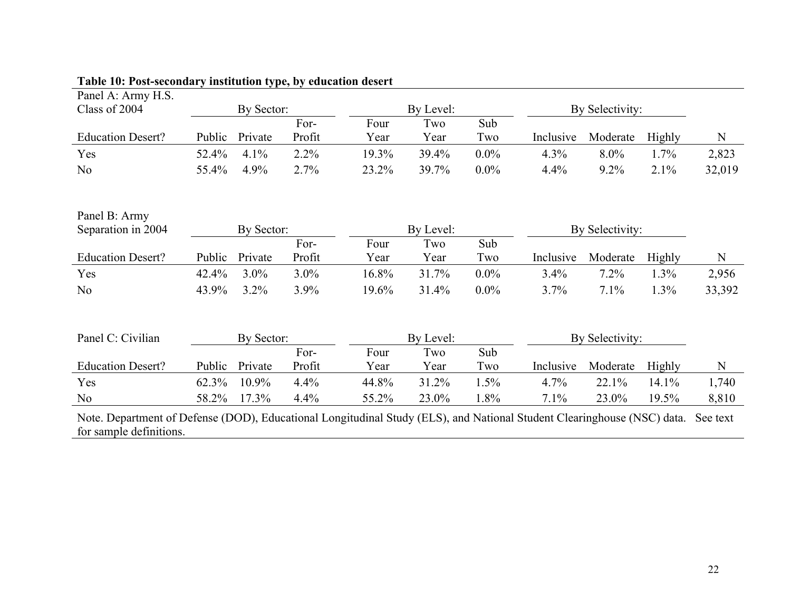| Panel A: Army H.S.                                                                                                                                 |        |            |         |       |           |         |                 |                 |        |             |
|----------------------------------------------------------------------------------------------------------------------------------------------------|--------|------------|---------|-------|-----------|---------|-----------------|-----------------|--------|-------------|
| Class of 2004                                                                                                                                      |        | By Sector: |         |       | By Level: |         | By Selectivity: |                 |        |             |
|                                                                                                                                                    |        |            | For-    | Four  | Two       | Sub     |                 |                 |        |             |
| <b>Education Desert?</b>                                                                                                                           | Public | Private    | Profit  | Year  | Year      | Two     | Inclusive       | Moderate        | Highly | $\mathbf N$ |
| Yes                                                                                                                                                | 52.4%  | 4.1%       | 2.2%    | 19.3% | 39.4%     | $0.0\%$ | 4.3%            | $8.0\%$         | 1.7%   | 2,823       |
| No                                                                                                                                                 | 55.4%  | 4.9%       | 2.7%    | 23.2% | 39.7%     | $0.0\%$ | 4.4%            | 9.2%            | 2.1%   | 32,019      |
| Panel B: Army                                                                                                                                      |        |            |         |       |           |         |                 | By Selectivity: |        |             |
| Separation in 2004                                                                                                                                 |        | By Sector: |         |       | By Level: |         |                 |                 |        |             |
|                                                                                                                                                    |        |            | For-    | Four  | Two       | Sub     |                 |                 |        |             |
| <b>Education Desert?</b>                                                                                                                           | Public | Private    | Profit  | Year  | Year      | Two     | Inclusive       | Moderate        | Highly | $\mathbf N$ |
| Yes                                                                                                                                                | 42.4%  | 3.0%       | $3.0\%$ | 16.8% | 31.7%     | $0.0\%$ | 3.4%            | 7.2%            | 1.3%   | 2,956       |
| N <sub>o</sub>                                                                                                                                     | 43.9%  | 3.2%       | 3.9%    | 19.6% | 31.4%     | $0.0\%$ | 3.7%            | 7.1%            | 1.3%   | 33,392      |
| Panel C: Civilian                                                                                                                                  |        | By Sector: |         |       | By Level: |         |                 | By Selectivity: |        |             |
|                                                                                                                                                    |        |            | For-    | Four  | Two       | Sub     |                 |                 |        |             |
| <b>Education Desert?</b>                                                                                                                           | Public | Private    | Profit  | Year  | Year      | Two     | Inclusive       | Moderate        | Highly | N           |
| Yes                                                                                                                                                | 62.3%  | 10.9%      | 4.4%    | 44.8% | 31.2%     | 1.5%    | 4.7%            | 22.1%           | 14.1%  | 1,740       |
| No                                                                                                                                                 | 58.2%  | 17.3%      | 4.4%    | 55.2% | 23.0%     | 1.8%    | 7.1%            | 23.0%           | 19.5%  | 8,810       |
| Note. Department of Defense (DOD), Educational Longitudinal Study (ELS), and National Student Clearinghouse (NSC) data.<br>for sample definitions. |        |            |         |       |           |         |                 |                 |        | See text    |

#### **Table 10: Post-secondary institution type, by education desert**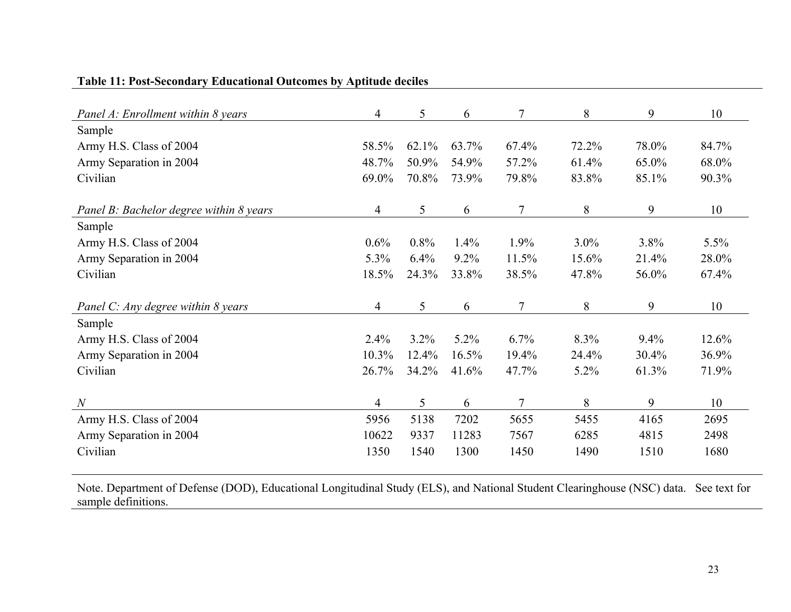| Panel A: Enrollment within 8 years      | 4       | 5     | 6     | 7      | 8       | 9     | 10    |
|-----------------------------------------|---------|-------|-------|--------|---------|-------|-------|
| Sample                                  |         |       |       |        |         |       |       |
| Army H.S. Class of 2004                 | 58.5%   | 62.1% | 63.7% | 67.4%  | 72.2%   | 78.0% | 84.7% |
| Army Separation in 2004                 | 48.7%   | 50.9% | 54.9% | 57.2%  | 61.4%   | 65.0% | 68.0% |
| Civilian                                | 69.0%   | 70.8% | 73.9% | 79.8%  | 83.8%   | 85.1% | 90.3% |
| Panel B: Bachelor degree within 8 years | 4       | 5     | 6     | 7      | $8\,$   | 9     | 10    |
| Sample                                  |         |       |       |        |         |       |       |
| Army H.S. Class of 2004                 | $0.6\%$ | 0.8%  | 1.4%  | 1.9%   | $3.0\%$ | 3.8%  | 5.5%  |
| Army Separation in 2004                 | 5.3%    | 6.4%  | 9.2%  | 11.5%  | 15.6%   | 21.4% | 28.0% |
| Civilian                                | 18.5%   | 24.3% | 33.8% | 38.5%  | 47.8%   | 56.0% | 67.4% |
| Panel C: Any degree within 8 years      | 4       | 5     | 6     | $\tau$ | 8       | 9     | 10    |
| Sample                                  |         |       |       |        |         |       |       |
| Army H.S. Class of 2004                 | 2.4%    | 3.2%  | 5.2%  | 6.7%   | 8.3%    | 9.4%  | 12.6% |
| Army Separation in 2004                 | 10.3%   | 12.4% | 16.5% | 19.4%  | 24.4%   | 30.4% | 36.9% |
| Civilian                                | 26.7%   | 34.2% | 41.6% | 47.7%  | 5.2%    | 61.3% | 71.9% |
| $\overline{N}$                          | 4       | 5     | 6     | 7      | 8       | 9     | 10    |
| Army H.S. Class of 2004                 | 5956    | 5138  | 7202  | 5655   | 5455    | 4165  | 2695  |
| Army Separation in 2004                 | 10622   | 9337  | 11283 | 7567   | 6285    | 4815  | 2498  |
| Civilian                                | 1350    | 1540  | 1300  | 1450   | 1490    | 1510  | 1680  |

## **Table 11: Post-Secondary Educational Outcomes by Aptitude deciles**

Note. Department of Defense (DOD), Educational Longitudinal Study (ELS), and National Student Clearinghouse (NSC) data. See text for sample definitions.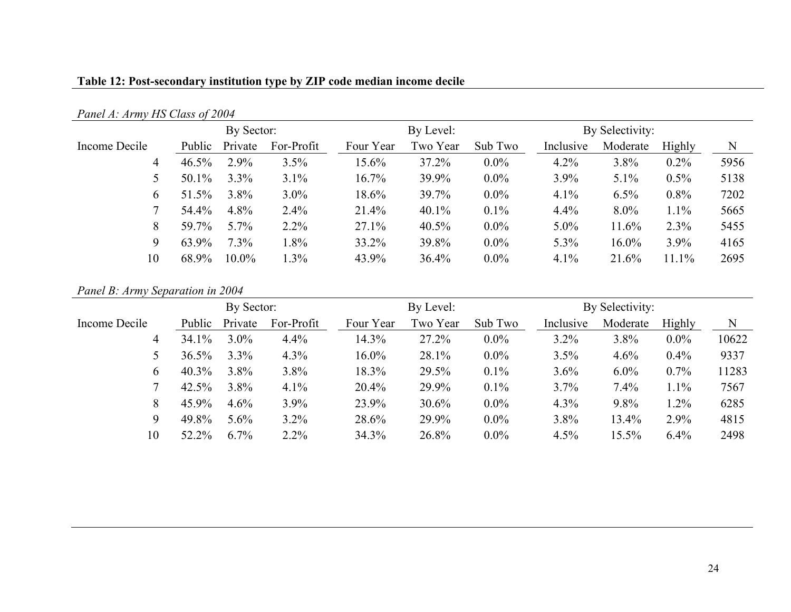| Panel A: Army HS Class of 2004 |            |          |            |           |           |         |                 |          |         |      |
|--------------------------------|------------|----------|------------|-----------|-----------|---------|-----------------|----------|---------|------|
|                                | By Sector: |          |            |           | By Level: |         | By Selectivity: |          |         |      |
| Income Decile                  | Public     | Private  | For-Profit | Four Year | Two Year  | Sub Two | Inclusive       | Moderate | Highly  | N    |
| 4                              | $46.5\%$   | 2.9%     | 3.5%       | 15.6%     | 37.2%     | $0.0\%$ | 4.2%            | 3.8%     | $0.2\%$ | 5956 |
|                                | 50.1%      | 3.3%     | $3.1\%$    | 16.7%     | 39.9%     | $0.0\%$ | 3.9%            | 5.1%     | $0.5\%$ | 5138 |
| 6                              | 51.5%      | $3.8\%$  | $3.0\%$    | 18.6%     | 39.7%     | $0.0\%$ | 4.1%            | 6.5%     | 0.8%    | 7202 |
|                                | 54.4%      | 4.8%     | $2.4\%$    | 21.4%     | 40.1%     | $0.1\%$ | 4.4%            | 8.0%     | 1.1%    | 5665 |
| 8                              | 59.7%      | $5.7\%$  | $2.2\%$    | 27.1%     | 40.5%     | $0.0\%$ | $5.0\%$         | 11.6%    | 2.3%    | 5455 |
| 9                              | 63.9%      | $7.3\%$  | 1.8%       | 33.2%     | 39.8%     | $0.0\%$ | 5.3%            | $16.0\%$ | 3.9%    | 4165 |
| 10                             | 68.9%      | $10.0\%$ | 1.3%       | 43.9%     | 36.4%     | $0.0\%$ | 4.1%            | 21.6%    | 11.1%   | 2695 |

# **Table 12: Post-secondary institution type by ZIP code median income decile**

## *Panel B: Army Separation in 2004*

|               | By Sector: |         |            |           | By Level: |         | By Selectivity: |          |         |       |
|---------------|------------|---------|------------|-----------|-----------|---------|-----------------|----------|---------|-------|
| Income Decile | Public     | Private | For-Profit | Four Year | Two Year  | Sub Two | Inclusive       | Moderate | Highly  | N     |
| 4             | 34.1%      | $3.0\%$ | 4.4%       | 14.3%     | 27.2%     | $0.0\%$ | 3.2%            | 3.8%     | $0.0\%$ | 10622 |
|               | 36.5%      | 3.3%    | 4.3%       | $16.0\%$  | 28.1%     | $0.0\%$ | 3.5%            | 4.6%     | 0.4%    | 9337  |
| 6             | $40.3\%$   | $3.8\%$ | 3.8%       | 18.3%     | 29.5%     | 0.1%    | 3.6%            | $6.0\%$  | 0.7%    | 11283 |
|               | 42.5%      | 3.8%    | 4.1%       | 20.4%     | 29.9%     | $0.1\%$ | 3.7%            | 7.4%     | 1.1%    | 7567  |
| 8             | 45.9%      | 4.6%    | 3.9%       | 23.9%     | 30.6%     | $0.0\%$ | 4.3%            | 9.8%     | 1.2%    | 6285  |
| 9             | 49.8%      | $5.6\%$ | $3.2\%$    | 28.6%     | 29.9%     | $0.0\%$ | 3.8%            | 13.4%    | 2.9%    | 4815  |
| 10            | 52.2%      | 6.7%    | $2.2\%$    | 34.3%     | 26.8%     | $0.0\%$ | 4.5%            | 15.5%    | 6.4%    | 2498  |